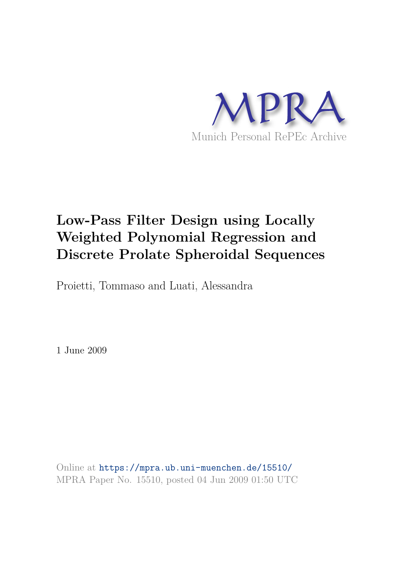

# **Low-Pass Filter Design using Locally Weighted Polynomial Regression and Discrete Prolate Spheroidal Sequences**

Proietti, Tommaso and Luati, Alessandra

1 June 2009

Online at https://mpra.ub.uni-muenchen.de/15510/ MPRA Paper No. 15510, posted 04 Jun 2009 01:50 UTC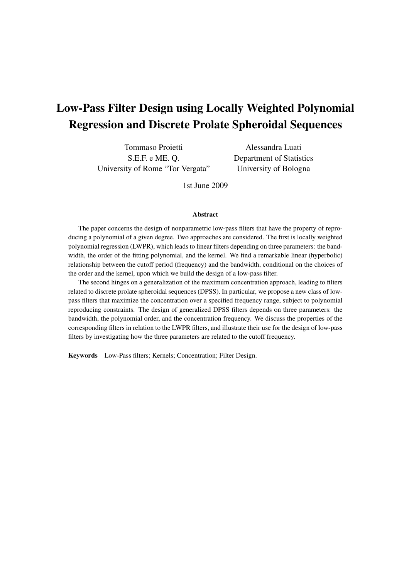## **Low-Pass Filter Design using Locally Weighted Polynomial Regression and Discrete Prolate Spheroidal Sequences**

Tommaso Proietti S.E.F. e ME. Q. University of Rome "Tor Vergata"

Alessandra Luati Department of Statistics University of Bologna

1st June 2009

### **Abstract**

The paper concerns the design of nonparametric low-pass filters that have the property of reproducing a polynomial of a given degree. Two approaches are considered. The first is locally weighted polynomial regression (LWPR), which leads to linear filters depending on three parameters: the bandwidth, the order of the fitting polynomial, and the kernel. We find a remarkable linear (hyperbolic) relationship between the cutoff period (frequency) and the bandwidth, conditional on the choices of the order and the kernel, upon which we build the design of a low-pass filter.

The second hinges on a generalization of the maximum concentration approach, leading to filters related to discrete prolate spheroidal sequences (DPSS). In particular, we propose a new class of lowpass filters that maximize the concentration over a specified frequency range, subject to polynomial reproducing constraints. The design of generalized DPSS filters depends on three parameters: the bandwidth, the polynomial order, and the concentration frequency. We discuss the properties of the corresponding filters in relation to the LWPR filters, and illustrate their use for the design of low-pass filters by investigating how the three parameters are related to the cutoff frequency.

**Keywords** Low-Pass filters; Kernels; Concentration; Filter Design.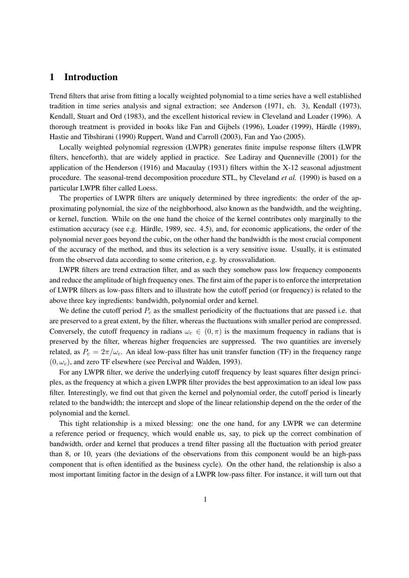### **1 Introduction**

Trend filters that arise from fitting a locally weighted polynomial to a time series have a well established tradition in time series analysis and signal extraction; see Anderson (1971, ch. 3), Kendall (1973), Kendall, Stuart and Ord (1983), and the excellent historical review in Cleveland and Loader (1996). A thorough treatment is provided in books like Fan and Gijbels (1996), Loader (1999), Härdle (1989), Hastie and Tibshirani (1990) Ruppert, Wand and Carroll (2003), Fan and Yao (2005).

Locally weighted polynomial regression (LWPR) generates finite impulse response filters (LWPR filters, henceforth), that are widely applied in practice. See Ladiray and Quenneville (2001) for the application of the Henderson (1916) and Macaulay (1931) filters within the X-12 seasonal adjustment procedure. The seasonal-trend decomposition procedure STL, by Cleveland *et al.* (1990) is based on a particular LWPR filter called Loess.

The properties of LWPR filters are uniquely determined by three ingredients: the order of the approximating polynomial, the size of the neighborhood, also known as the bandwidth, and the weighting, or kernel, function. While on the one hand the choice of the kernel contributes only marginally to the estimation accuracy (see e.g. Härdle, 1989, sec.  $4.5$ ), and, for economic applications, the order of the polynomial never goes beyond the cubic, on the other hand the bandwidth is the most crucial component of the accuracy of the method, and thus its selection is a very sensitive issue. Usually, it is estimated from the observed data according to some criterion, e.g. by crossvalidation.

LWPR filters are trend extraction filter, and as such they somehow pass low frequency components and reduce the amplitude of high frequency ones. The first aim of the paper is to enforce the interpretation of LWPR filters as low-pass filters and to illustrate how the cutoff period (or frequency) is related to the above three key ingredients: bandwidth, polynomial order and kernel.

We define the cutoff period  $P_c$  as the smallest periodicity of the fluctuations that are passed i.e. that are preserved to a great extent, by the filter, whereas the fluctuations with smaller period are compressed. Conversely, the cutoff frequency in radians  $\omega_c \in (0, \pi)$  is the maximum frequency in radians that is preserved by the filter, whereas higher frequencies are suppressed. The two quantities are inversely related, as  $P_c = 2\pi/\omega_c$ . An ideal low-pass filter has unit transfer function (TF) in the frequency range  $(0, \omega_c)$ , and zero TF elsewhere (see Percival and Walden, 1993).

For any LWPR filter, we derive the underlying cutoff frequency by least squares filter design principles, as the frequency at which a given LWPR filter provides the best approximation to an ideal low pass filter. Interestingly, we find out that given the kernel and polynomial order, the cutoff period is linearly related to the bandwidth; the intercept and slope of the linear relationship depend on the the order of the polynomial and the kernel.

This tight relationship is a mixed blessing: one the one hand, for any LWPR we can determine a reference period or frequency, which would enable us, say, to pick up the correct combination of bandwidth, order and kernel that produces a trend filter passing all the fluctuation with period greater than 8, or 10, years (the deviations of the observations from this component would be an high-pass component that is often identified as the business cycle). On the other hand, the relationship is also a most important limiting factor in the design of a LWPR low-pass filter. For instance, it will turn out that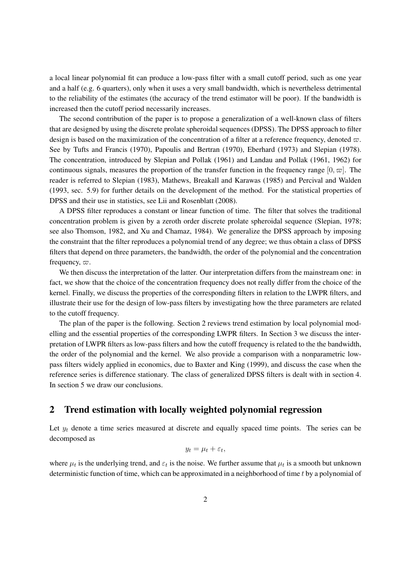a local linear polynomial fit can produce a low-pass filter with a small cutoff period, such as one year and a half (e.g. 6 quarters), only when it uses a very small bandwidth, which is nevertheless detrimental to the reliability of the estimates (the accuracy of the trend estimator will be poor). If the bandwidth is increased then the cutoff period necessarily increases.

The second contribution of the paper is to propose a generalization of a well-known class of filters that are designed by using the discrete prolate spheroidal sequences (DPSS). The DPSS approach to filter design is based on the maximization of the concentration of a filter at a reference frequency, denoted  $\varpi$ . See by Tufts and Francis (1970), Papoulis and Bertran (1970), Eberhard (1973) and Slepian (1978). The concentration, introduced by Slepian and Pollak (1961) and Landau and Pollak (1961, 1962) for continuous signals, measures the proportion of the transfer function in the frequency range  $[0, \infty]$ . The reader is referred to Slepian (1983), Mathews, Breakall and Karawas (1985) and Percival and Walden (1993, sec. 5.9) for further details on the development of the method. For the statistical properties of DPSS and their use in statistics, see Lii and Rosenblatt (2008).

A DPSS filter reproduces a constant or linear function of time. The filter that solves the traditional concentration problem is given by a zeroth order discrete prolate spheroidal sequence (Slepian, 1978; see also Thomson, 1982, and Xu and Chamaz, 1984). We generalize the DPSS approach by imposing the constraint that the filter reproduces a polynomial trend of any degree; we thus obtain a class of DPSS filters that depend on three parameters, the bandwidth, the order of the polynomial and the concentration frequency,  $\varpi$ .

We then discuss the interpretation of the latter. Our interpretation differs from the mainstream one: in fact, we show that the choice of the concentration frequency does not really differ from the choice of the kernel. Finally, we discuss the properties of the corresponding filters in relation to the LWPR filters, and illustrate their use for the design of low-pass filters by investigating how the three parameters are related to the cutoff frequency.

The plan of the paper is the following. Section 2 reviews trend estimation by local polynomial modelling and the essential properties of the corresponding LWPR filters. In Section 3 we discuss the interpretation of LWPR filters as low-pass filters and how the cutoff frequency is related to the the bandwidth, the order of the polynomial and the kernel. We also provide a comparison with a nonparametric lowpass filters widely applied in economics, due to Baxter and King (1999), and discuss the case when the reference series is difference stationary. The class of generalized DPSS filters is dealt with in section 4. In section 5 we draw our conclusions.

### **2 Trend estimation with locally weighted polynomial regression**

Let  $y_t$  denote a time series measured at discrete and equally spaced time points. The series can be decomposed as

$$
y_t = \mu_t + \varepsilon_t,
$$

where  $\mu_t$  is the underlying trend, and  $\varepsilon_t$  is the noise. We further assume that  $\mu_t$  is a smooth but unknown deterministic function of time, which can be approximated in a neighborhood of time t by a polynomial of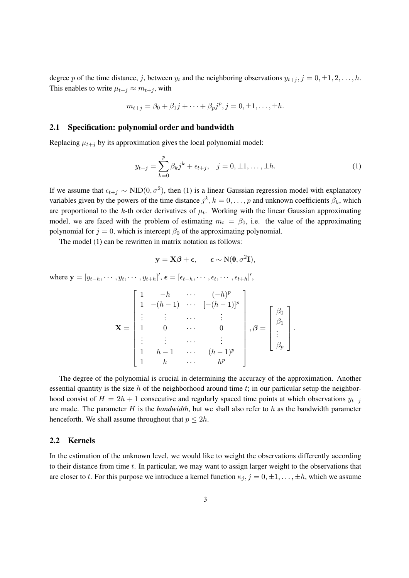degree p of the time distance, j, between  $y_t$  and the neighboring observations  $y_{t+j}$ ,  $j = 0, \pm 1, 2, \ldots, h$ . This enables to write  $\mu_{t+j} \approx m_{t+j}$ , with

$$
m_{t+j} = \beta_0 + \beta_1 j + \dots + \beta_p j^p, j = 0, \pm 1, \dots, \pm h.
$$

#### **2.1 Specification: polynomial order and bandwidth**

Replacing  $\mu_{t+j}$  by its approximation gives the local polynomial model:

$$
y_{t+j} = \sum_{k=0}^{p} \beta_k j^k + \epsilon_{t+j}, \quad j = 0, \pm 1, \dots, \pm h.
$$
 (1)

If we assume that  $\epsilon_{t+j} \sim \text{NID}(0, \sigma^2)$ , then (1) is a linear Gaussian regression model with explanatory variables given by the powers of the time distance  $j^k$ ,  $k = 0, \ldots, p$  and unknown coefficients  $\beta_k$ , which are proportional to the k-th order derivatives of  $\mu_t$ . Working with the linear Gaussian approximating model, we are faced with the problem of estimating  $m_t = \beta_0$ , i.e. the value of the approximating polynomial for  $j = 0$ , which is intercept  $\beta_0$  of the approximating polynomial.

The model (1) can be rewritten in matrix notation as follows:

$$
\mathbf{y} = \mathbf{X}\boldsymbol{\beta} + \boldsymbol{\epsilon}, \qquad \boldsymbol{\epsilon} \sim \mathrm{N}(\mathbf{0}, \sigma^2 \mathbf{I}),
$$

where  $\mathbf{y} = [y_{t-h}, \cdots, y_t, \cdots, y_{t+h}]^{\prime}, \epsilon = [\epsilon_{t-h}, \cdots, \epsilon_t, \cdots, \epsilon_{t+h}]^{\prime},$ 

$$
\mathbf{X} = \begin{bmatrix} 1 & -h & \cdots & (-h)^p \\ 1 & -(h-1) & \cdots & [-(h-1)]^p \\ \vdots & \vdots & \cdots & \vdots \\ 1 & 0 & \cdots & 0 \\ \vdots & \vdots & \cdots & \vdots \\ 1 & h-1 & \cdots & (h-1)^p \\ 1 & h & \cdots & h^p \end{bmatrix}, \boldsymbol{\beta} = \begin{bmatrix} \beta_0 \\ \beta_1 \\ \vdots \\ \beta_p \end{bmatrix}.
$$

The degree of the polynomial is crucial in determining the accuracy of the approximation. Another essential quantity is the size h of the neighborhood around time  $t$ ; in our particular setup the neighborhood consist of  $H = 2h + 1$  consecutive and regularly spaced time points at which observations  $y_{t+i}$ are made. The parameter H is the *bandwidth*, but we shall also refer to h as the bandwidth parameter henceforth. We shall assume throughout that  $p \leq 2h$ .

### **2.2 Kernels**

In the estimation of the unknown level, we would like to weight the observations differently according to their distance from time t. In particular, we may want to assign larger weight to the observations that are closer to t. For this purpose we introduce a kernel function  $\kappa_j$ ,  $j = 0, \pm 1, \ldots, \pm h$ , which we assume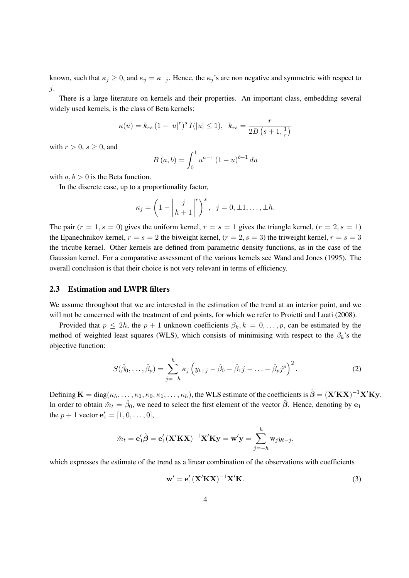known, such that  $\kappa_j \geq 0$ , and  $\kappa_j = \kappa_{-j}$ . Hence, the  $\kappa_j$ 's are non negative and symmetric with respect to j.

There is a large literature on kernels and their properties. An important class, embedding several widely used kernels, is the class of Beta kernels:

$$
\kappa(u) = k_{rs} \left(1 - |u|^r\right)^s I(|u| \le 1), \ \ k_{rs} = \frac{r}{2B\left(s + 1, \frac{1}{r}\right)}
$$

with  $r > 0$ ,  $s > 0$ , and

$$
B(a,b) = \int_0^1 u^{a-1} (1-u)^{b-1} du
$$

with  $a, b > 0$  is the Beta function.

In the discrete case, up to a proportionality factor,

$$
\kappa_j = \left(1 - \left|\frac{j}{h+1}\right|^r\right)^s, \ \ j = 0, \pm 1, \ldots, \pm h.
$$

The pair  $(r = 1, s = 0)$  gives the uniform kernel,  $r = s = 1$  gives the triangle kernel,  $(r = 2, s = 1)$ the Epanechnikov kernel,  $r = s = 2$  the biweight kernel,  $(r = 2, s = 3)$  the triweight kernel,  $r = s = 3$ the tricube kernel. Other kernels are defined from parametric density functions, as in the case of the Gaussian kernel. For a comparative assessment of the various kernels see Wand and Jones (1995). The overall conclusion is that their choice is not very relevant in terms of efficiency.

### **2.3 Estimation and LWPR filters**

We assume throughout that we are interested in the estimation of the trend at an interior point, and we will not be concerned with the treatment of end points, for which we refer to Proietti and Luati (2008).

Provided that  $p \leq 2h$ , the  $p + 1$  unknown coefficients  $\beta_k, k = 0, \ldots, p$ , can be estimated by the method of weighted least squares (WLS), which consists of minimising with respect to the  $\beta_k$ 's the objective function:

$$
S(\hat{\beta}_0,\ldots,\hat{\beta}_p) = \sum_{j=-h}^h \kappa_j \left( y_{t+j} - \hat{\beta}_0 - \hat{\beta}_1 j - \ldots - \hat{\beta}_p j^p \right)^2.
$$
 (2)

Defining  $\mathbf{K} = \text{diag}(\kappa_h, \dots, \kappa_1, \kappa_0, \kappa_1, \dots, \kappa_h)$ , the WLS estimate of the coefficients is  $\hat{\boldsymbol{\beta}} = (\mathbf{X}'\mathbf{K}\mathbf{X})^{-1}\mathbf{X}'\mathbf{K}\mathbf{y}$ . In order to obtain  $\hat{m}_t = \hat{\beta}_0$ , we need to select the first element of the vector  $\hat{\beta}$ . Hence, denoting by  ${\bf e}_1$ the  $p + 1$  vector  $e'_1 = [1, 0, \dots, 0],$ 

$$
\hat{m}_t = \mathbf{e}'_1 \hat{\boldsymbol{\beta}} = \mathbf{e}'_1 (\mathbf{X}' \mathbf{K} \mathbf{X})^{-1} \mathbf{X}' \mathbf{K} \mathbf{y} = \mathbf{w}' \mathbf{y} = \sum_{j=-h}^h w_j y_{t-j},
$$

which expresses the estimate of the trend as a linear combination of the observations with coefficients

$$
\mathbf{w}' = \mathbf{e}'_1 (\mathbf{X}' \mathbf{K} \mathbf{X})^{-1} \mathbf{X}' \mathbf{K}.
$$
 (3)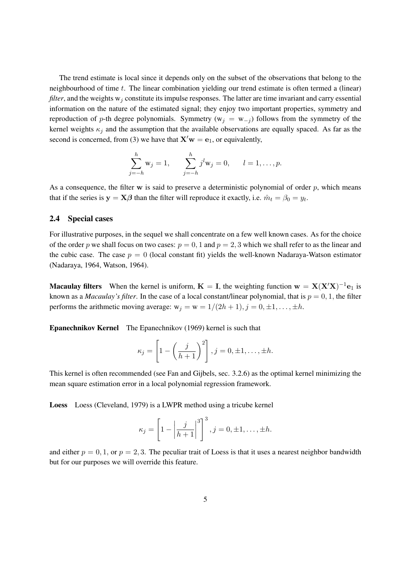The trend estimate is local since it depends only on the subset of the observations that belong to the neighbourhood of time t. The linear combination yielding our trend estimate is often termed a (linear) *filter*, and the weights  $w_i$  constitute its impulse responses. The latter are time invariant and carry essential information on the nature of the estimated signal; they enjoy two important properties, symmetry and reproduction of p-th degree polynomials. Symmetry ( $w_j = w_{-j}$ ) follows from the symmetry of the kernel weights  $\kappa_j$  and the assumption that the available observations are equally spaced. As far as the second is concerned, from (3) we have that  $X'w = e_1$ , or equivalently,

$$
\sum_{j=-h}^{h} w_j = 1, \qquad \sum_{j=-h}^{h} j^l w_j = 0, \qquad l = 1, \dots, p.
$$

As a consequence, the filter  $w$  is said to preserve a deterministic polynomial of order  $p$ , which means that if the series is  $y = X\beta$  than the filter will reproduce it exactly, i.e.  $\hat{m}_t = \beta_0 = y_t$ .

### **2.4 Special cases**

For illustrative purposes, in the sequel we shall concentrate on a few well known cases. As for the choice of the order p we shall focus on two cases:  $p = 0, 1$  and  $p = 2, 3$  which we shall refer to as the linear and the cubic case. The case  $p = 0$  (local constant fit) yields the well-known Nadaraya-Watson estimator (Nadaraya, 1964, Watson, 1964).

**Macaulay filters** When the kernel is uniform,  $K = I$ , the weighting function  $w = X(X'X)^{-1}e_1$  is known as a *Macaulay's filter*. In the case of a local constant/linear polynomial, that is  $p = 0, 1$ , the filter performs the arithmetic moving average:  $w_j = w = 1/(2h + 1), j = 0, \pm 1, \ldots, \pm h$ .

**Epanechnikov Kernel** The Epanechnikov (1969) kernel is such that

$$
\kappa_j = \left[1 - \left(\frac{j}{h+1}\right)^2\right], j = 0, \pm 1, \ldots, \pm h.
$$

This kernel is often recommended (see Fan and Gijbels, sec. 3.2.6) as the optimal kernel minimizing the mean square estimation error in a local polynomial regression framework.

**Loess** Loess (Cleveland, 1979) is a LWPR method using a tricube kernel

$$
\kappa_j = \left[1 - \left|\frac{j}{h+1}\right|^3\right]^3, j = 0, \pm 1, \ldots, \pm h.
$$

and either  $p = 0, 1$ , or  $p = 2, 3$ . The peculiar trait of Loess is that it uses a nearest neighbor bandwidth but for our purposes we will override this feature.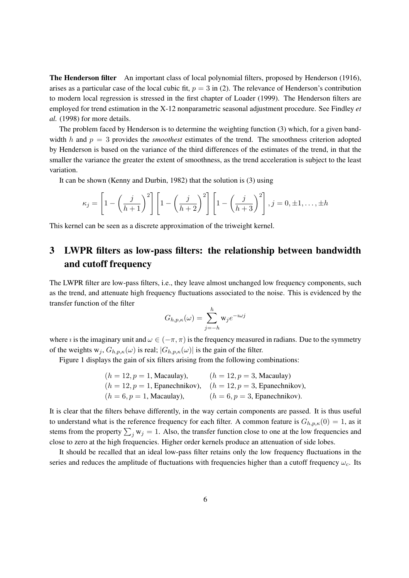**The Henderson filter** An important class of local polynomial filters, proposed by Henderson (1916), arises as a particular case of the local cubic fit,  $p = 3$  in (2). The relevance of Henderson's contribution to modern local regression is stressed in the first chapter of Loader (1999). The Henderson filters are employed for trend estimation in the X-12 nonparametric seasonal adjustment procedure. See Findley *et al.* (1998) for more details.

The problem faced by Henderson is to determine the weighting function (3) which, for a given bandwidth h and  $p = 3$  provides the *smoothest* estimates of the trend. The smoothness criterion adopted by Henderson is based on the variance of the third differences of the estimates of the trend, in that the smaller the variance the greater the extent of smoothness, as the trend acceleration is subject to the least variation.

It can be shown (Kenny and Durbin, 1982) that the solution is (3) using

$$
\kappa_j = \left[1 - \left(\frac{j}{h+1}\right)^2\right] \left[1 - \left(\frac{j}{h+2}\right)^2\right] \left[1 - \left(\frac{j}{h+3}\right)^2\right], j = 0, \pm 1, \dots, \pm h
$$

This kernel can be seen as a discrete approximation of the triweight kernel.

### **3 LWPR filters as low-pass filters: the relationship between bandwidth and cutoff frequency**

The LWPR filter are low-pass filters, i.e., they leave almost unchanged low frequency components, such as the trend, and attenuate high frequency fluctuations associated to the noise. This is evidenced by the transfer function of the filter

$$
G_{h,p,\kappa}(\omega) = \sum_{j=-h}^{h} \mathbf{w}_j e^{-i\omega j}
$$

where *i* is the imaginary unit and  $\omega \in (-\pi, \pi)$  is the frequency measured in radians. Due to the symmetry of the weights  $w_j$ ,  $G_{h,p,\kappa}(\omega)$  is real;  $|G_{h,p,\kappa}(\omega)|$  is the gain of the filter.

Figure 1 displays the gain of six filters arising from the following combinations:

\n- $$
(h = 12, p = 1, \text{Macaulay}),
$$
  $(h = 12, p = 3, \text{Macaulay})$
\n- $(h = 12, p = 1, \text{Epanechnikov}),$   $(h = 12, p = 3, \text{Epanechnikov}),$   $(h = 6, p = 1, \text{Macaulay}),$   $(h = 6, p = 3, \text{Epanechnikov}).$
\n

It is clear that the filters behave differently, in the way certain components are passed. It is thus useful to understand what is the reference frequency for each filter. A common feature is  $G_{h,p,\kappa}(0) = 1$ , as it stems from the property  $\sum_j w_j = 1$ . Also, the transfer function close to one at the low frequencies and close to zero at the high frequencies. Higher order kernels produce an attenuation of side lobes.

It should be recalled that an ideal low-pass filter retains only the low frequency fluctuations in the series and reduces the amplitude of fluctuations with frequencies higher than a cutoff frequency  $\omega_c$ . Its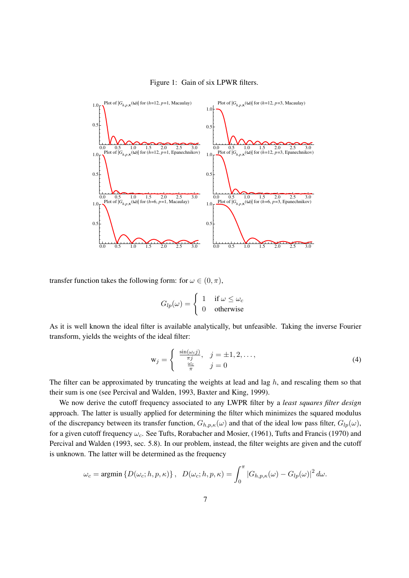#### Figure 1: Gain of six LPWR filters.



transfer function takes the following form: for  $\omega \in (0, \pi)$ ,

$$
G_{lp}(\omega) = \begin{cases} 1 & \text{if } \omega \leq \omega_c \\ 0 & \text{otherwise} \end{cases}
$$

As it is well known the ideal filter is available analytically, but unfeasible. Taking the inverse Fourier transform, yields the weights of the ideal filter:

$$
\mathbf{w}_j = \begin{cases} \frac{\sin(\omega_c j)}{\pi j}, & j = \pm 1, 2, \dots, \\ \frac{\omega_c}{\pi} & j = 0 \end{cases}
$$
 (4)

The filter can be approximated by truncating the weights at lead and lag  $h$ , and rescaling them so that their sum is one (see Percival and Walden, 1993, Baxter and King, 1999).

We now derive the cutoff frequency associated to any LWPR filter by a *least squares filter design* approach. The latter is usually applied for determining the filter which minimizes the squared modulus of the discrepancy between its transfer function,  $G_{h,p,\kappa}(\omega)$  and that of the ideal low pass filter,  $G_{lp}(\omega)$ , for a given cutoff frequency  $\omega_c$ . See Tufts, Rorabacher and Mosier, (1961), Tufts and Francis (1970) and Percival and Walden (1993, sec. 5.8). In our problem, instead, the filter weights are given and the cutoff is unknown. The latter will be determined as the frequency

$$
\omega_c = \operatorname{argmin} \left\{ D(\omega_c; h, p, \kappa) \right\}, \quad D(\omega_c; h, p, \kappa) = \int_0^{\pi} |G_{h, p, \kappa}(\omega) - G_{lp}(\omega)|^2 d\omega.
$$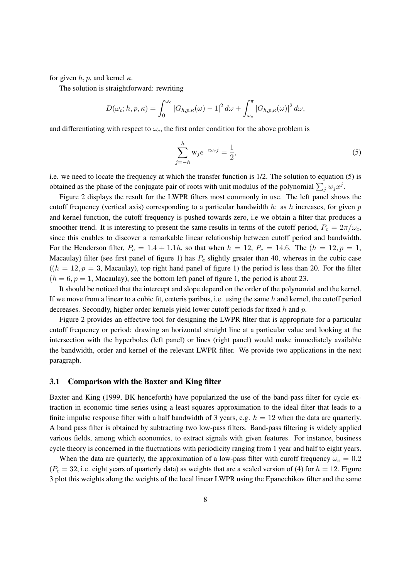for given h, p, and kernel  $\kappa$ .

The solution is straightforward: rewriting

$$
D(\omega_c; h, p, \kappa) = \int_0^{\omega_c} |G_{h, p, \kappa}(\omega) - 1|^2 d\omega + \int_{\omega_c}^{\pi} |G_{h, p, \kappa}(\omega)|^2 d\omega,
$$

and differentiating with respect to  $\omega_c$ , the first order condition for the above problem is

$$
\sum_{j=-h}^{h} \mathbf{w}_j e^{-i\omega_c j} = \frac{1}{2},\tag{5}
$$

i.e. we need to locate the frequency at which the transfer function is 1/2. The solution to equation (5) is obtained as the phase of the conjugate pair of roots with unit modulus of the polynomial  $\sum_j w_j x^j$ .

Figure 2 displays the result for the LWPR filters most commonly in use. The left panel shows the cutoff frequency (vertical axis) corresponding to a particular bandwidth h: as h increases, for given p and kernel function, the cutoff frequency is pushed towards zero, i.e we obtain a filter that produces a smoother trend. It is interesting to present the same results in terms of the cutoff period,  $P_c = 2\pi/\omega_c$ , since this enables to discover a remarkable linear relationship between cutoff period and bandwidth. For the Henderson filter,  $P_c = 1.4 + 1.1h$ , so that when  $h = 12$ ,  $P_c = 14.6$ . The  $(h = 12, p = 1,$ Macaulay) filter (see first panel of figure 1) has  $P_c$  slightly greater than 40, whereas in the cubic case  $((h = 12, p = 3, Macaulay))$ , top right hand panel of figure 1) the period is less than 20. For the filter  $(h = 6, p = 1, \text{Macaulay})$ , see the bottom left panel of figure 1, the period is about 23.

It should be noticed that the intercept and slope depend on the order of the polynomial and the kernel. If we move from a linear to a cubic fit, cœteris paribus, i.e. using the same  $h$  and kernel, the cutoff period decreases. Secondly, higher order kernels yield lower cutoff periods for fixed h and p.

Figure 2 provides an effective tool for designing the LWPR filter that is appropriate for a particular cutoff frequency or period: drawing an horizontal straight line at a particular value and looking at the intersection with the hyperboles (left panel) or lines (right panel) would make immediately available the bandwidth, order and kernel of the relevant LWPR filter. We provide two applications in the next paragraph.

### **3.1 Comparison with the Baxter and King filter**

Baxter and King (1999, BK henceforth) have popularized the use of the band-pass filter for cycle extraction in economic time series using a least squares approximation to the ideal filter that leads to a finite impulse response filter with a half bandwidth of 3 years, e.g.  $h = 12$  when the data are quarterly. A band pass filter is obtained by subtracting two low-pass filters. Band-pass filtering is widely applied various fields, among which economics, to extract signals with given features. For instance, business cycle theory is concerned in the fluctuations with periodicity ranging from 1 year and half to eight years.

When the data are quarterly, the approximation of a low-pass filter with curoff frequency  $\omega_c = 0.2$  $(P_c = 32$ , i.e. eight years of quarterly data) as weights that are a scaled version of (4) for  $h = 12$ . Figure 3 plot this weights along the weights of the local linear LWPR using the Epanechikov filter and the same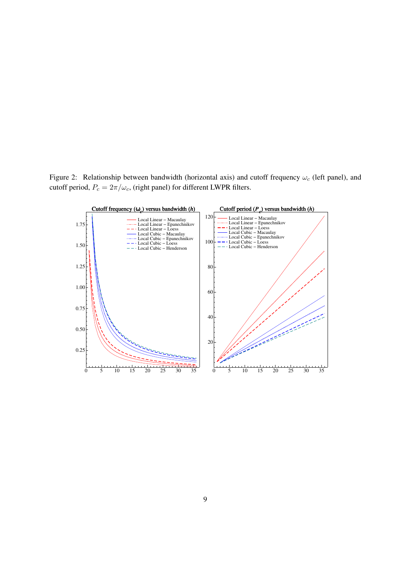Figure 2: Relationship between bandwidth (horizontal axis) and cutoff frequency  $\omega_c$  (left panel), and cutoff period,  $P_c = 2\pi/\omega_c$ , (right panel) for different LWPR filters.

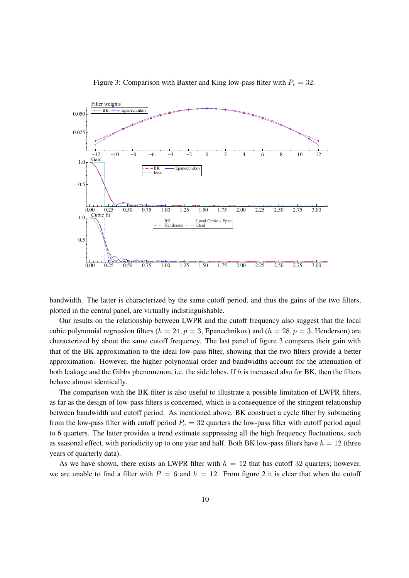

Figure 3: Comparison with Baxter and King low-pass filter with  $P_c = 32$ .

bandwidth. The latter is characterized by the same cutoff period, and thus the gains of the two filters, plotted in the central panel, are virtually indistinguishable.

Our results on the relationship between LWPR and the cutoff frequency also suggest that the local cubic polynomial regression filters ( $h = 24$ ,  $p = 3$ , Epanechnikov) and ( $h = 28$ ,  $p = 3$ , Henderson) are characterized by about the same cutoff frequency. The last panel of figure 3 compares their gain with that of the BK approximation to the ideal low-pass filter, showing that the two filters provide a better approximation. However, the higher polynomial order and bandwidths account for the attenuation of both leakage and the Gibbs phenomenon, i.e. the side lobes. If h is increased also for BK, then the filters behave almost identically.

The comparison with the BK filter is also useful to illustrate a possible limitation of LWPR filters, as far as the design of low-pass filters is concerned, which is a consequence of the stringent relationship between bandwidth and cutoff period. As mentioned above, BK construct a cycle filter by subtracting from the low-pass filter with cutoff period  $P_c = 32$  quarters the low-pass filter with cutoff period equal to 6 quarters. The latter provides a trend estimate suppressing all the high frequency fluctuations, such as seasonal effect, with periodicity up to one year and half. Both BK low-pass filters have  $h = 12$  (three years of quarterly data).

As we have shown, there exists an LWPR filter with  $h = 12$  that has cutoff 32 quarters; however, we are unable to find a filter with  $\bar{P}=6$  and  $h=12$ . From figure 2 it is clear that when the cutoff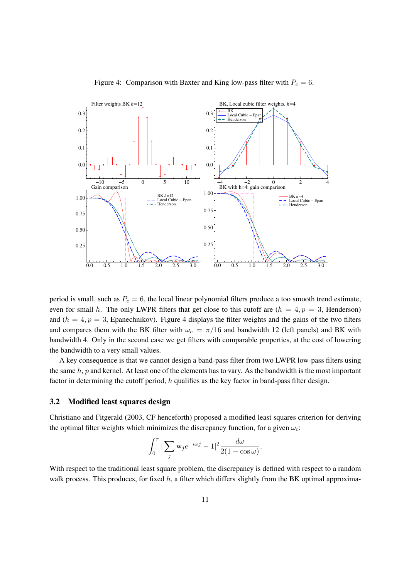

Figure 4: Comparison with Baxter and King low-pass filter with  $P_c = 6$ .

period is small, such as  $P_c = 6$ , the local linear polynomial filters produce a too smooth trend estimate, even for small h. The only LWPR filters that get close to this cutoff are  $(h = 4, p = 3,$  Henderson) and ( $h = 4, p = 3$ , Epanechnikov). Figure 4 displays the filter weights and the gains of the two filters and compares them with the BK filter with  $\omega_c = \pi/16$  and bandwidth 12 (left panels) and BK with bandwidth 4. Only in the second case we get filters with comparable properties, at the cost of lowering the bandwidth to a very small values.

A key consequence is that we cannot design a band-pass filter from two LWPR low-pass filters using the same  $h$ ,  $p$  and kernel. At least one of the elements has to vary. As the bandwidth is the most important factor in determining the cutoff period, h qualifies as the key factor in band-pass filter design.

### **3.2 Modified least squares design**

Christiano and Fitgerald (2003, CF henceforth) proposed a modified least squares criterion for deriving the optimal filter weights which minimizes the discrepancy function, for a given  $\omega_c$ :

$$
\int_0^\pi |\sum_j \mathbf{w}_j e^{-i\omega j} - 1|^2 \frac{d\omega}{2(1 - \cos \omega)}.
$$

With respect to the traditional least square problem, the discrepancy is defined with respect to a random walk process. This produces, for fixed  $h$ , a filter which differs slightly from the BK optimal approxima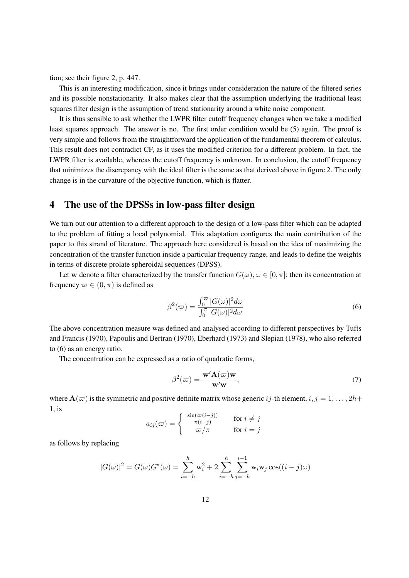tion; see their figure 2, p. 447.

This is an interesting modification, since it brings under consideration the nature of the filtered series and its possible nonstationarity. It also makes clear that the assumption underlying the traditional least squares filter design is the assumption of trend stationarity around a white noise component.

It is thus sensible to ask whether the LWPR filter cutoff frequency changes when we take a modified least squares approach. The answer is no. The first order condition would be (5) again. The proof is very simple and follows from the straightforward the application of the fundamental theorem of calculus. This result does not contradict CF, as it uses the modified criterion for a different problem. In fact, the LWPR filter is available, whereas the cutoff frequency is unknown. In conclusion, the cutoff frequency that minimizes the discrepancy with the ideal filter is the same as that derived above in figure 2. The only change is in the curvature of the objective function, which is flatter.

### **4 The use of the DPSSs in low-pass filter design**

We turn out our attention to a different approach to the design of a low-pass filter which can be adapted to the problem of fitting a local polynomial. This adaptation configures the main contribution of the paper to this strand of literature. The approach here considered is based on the idea of maximizing the concentration of the transfer function inside a particular frequency range, and leads to define the weights in terms of discrete prolate spheroidal sequences (DPSS).

Let w denote a filter characterized by the transfer function  $G(\omega), \omega \in [0, \pi]$ ; then its concentration at frequency  $\varpi \in (0, \pi)$  is defined as

$$
\beta^2(\varpi) = \frac{\int_0^\varpi |G(\omega)|^2 d\omega}{\int_0^\pi |G(\omega)|^2 d\omega} \tag{6}
$$

The above concentration measure was defined and analysed according to different perspectives by Tufts and Francis (1970), Papoulis and Bertran (1970), Eberhard (1973) and Slepian (1978), who also referred to (6) as an energy ratio.

The concentration can be expressed as a ratio of quadratic forms,

$$
\beta^{2}(\varpi) = \frac{\mathbf{w}' \mathbf{A}(\varpi) \mathbf{w}}{\mathbf{w}' \mathbf{w}},\tag{7}
$$

where  $\mathbf{A}(\varpi)$  is the symmetric and positive definite matrix whose generic ij-th element,  $i, j = 1, \ldots, 2h+1$ 1, is

$$
a_{ij}(\varpi) = \begin{cases} \frac{\sin(\varpi(i-j))}{\pi(i-j)} & \text{for } i \neq j \\ \varpi/\pi & \text{for } i = j \end{cases}
$$

as follows by replacing

$$
|G(\omega)|^2 = G(\omega)G^*(\omega) = \sum_{i=-h}^h w_i^2 + 2\sum_{i=-h}^h \sum_{j=-h}^{i-1} w_i w_j \cos((i-j)\omega)
$$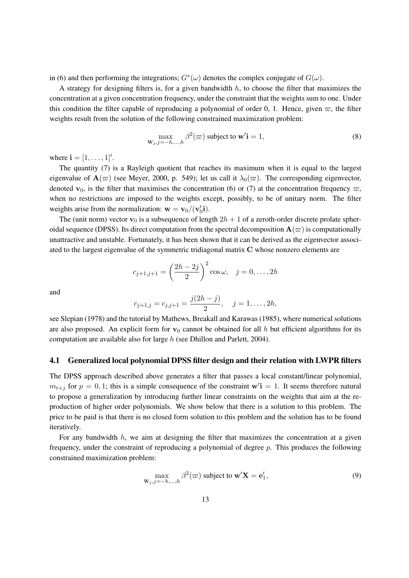in (6) and then performing the integrations;  $G^*(\omega)$  denotes the complex conjugate of  $G(\omega)$ .

A strategy for designing filters is, for a given bandwidth  $h$ , to choose the filter that maximizes the concentration at a given concentration frequency, under the constraint that the weights sum to one. Under this condition the filter capable of reproducing a polynomial of order 0, 1. Hence, given  $\varpi$ , the filter weights result from the solution of the following constrained maximization problem:

$$
\max_{\mathbf{W}_j, j=-h,\dots,h} \beta^2(\varpi) \text{ subject to } \mathbf{w}'\mathbf{i} = 1,
$$
\n(8)

where  ${\bf i} = [1, \dots, 1]'.$ 

The quantity (7) is a Rayleigh quotient that reaches its maximum when it is equal to the largest eigenvalue of  $\mathbf{A}(\varpi)$  (see Meyer, 2000, p. 549); let us call it  $\lambda_0(\varpi)$ . The corresponding eigenvector, denoted  $\mathbf{v}_0$ , is the filter that maximises the concentration (6) or (7) at the concentration frequency  $\varpi$ , when no restrictions are imposed to the weights except, possibly, to be of unitary norm. The filter weights arise from the normalization:  $\mathbf{w} = \mathbf{v}_0/(\mathbf{v}_0)$  $\prime_0$ i).

The (unit norm) vector  $\mathbf{v}_0$  is a subsequence of length  $2h + 1$  of a zeroth-order discrete prolate spheroidal sequence (DPSS). Its direct computation from the spectral decomposition  $\mathbf{A}(\varpi)$  is computationally unattractive and unstable. Fortunately, it has been shown that it can be derived as the eigenvector associated to the largest eigenvalue of the symmetric tridiagonal matrix C whose nonzero elements are

$$
c_{j+1,j+1} = \left(\frac{2h - 2j}{2}\right)^2 \cos \omega, \quad j = 0, \dots, 2h
$$

and

$$
c_{j+1,j} = c_{j,j+1} = \frac{j(2h-j)}{2}, \quad j = 1, \ldots, 2h,
$$

see Slepian (1978) and the tutorial by Mathews, Breakall and Karawas (1985), where numerical solutions are also proposed. An explicit form for  $v_0$  cannot be obtained for all h but efficient algorithms for its computation are available also for large h (see Dhillon and Parlett, 2004).

### **4.1 Generalized local polynomial DPSS filter design and their relation with LWPR filters**

The DPSS approach described above generates a filter that passes a local constant/linear polynomial,  $m_{t+j}$  for  $p = 0, 1$ ; this is a simple consequence of the constraint  $w'i = 1$ . It seems therefore natural to propose a generalization by introducing further linear constraints on the weights that aim at the reproduction of higher order polynomials. We show below that there is a solution to this problem. The price to be paid is that there is no closed form solution to this problem and the solution has to be found iteratively.

For any bandwidth  $h$ , we aim at designing the filter that maximizes the concentration at a given frequency, under the constraint of reproducing a polynomial of degree  $p$ . This produces the following constrained maximization problem:

$$
\max_{\mathbf{W}_j, j=-h,\dots,h} \beta^2(\varpi) \text{ subject to } \mathbf{w}'\mathbf{X} = \mathbf{e}'_1,\tag{9}
$$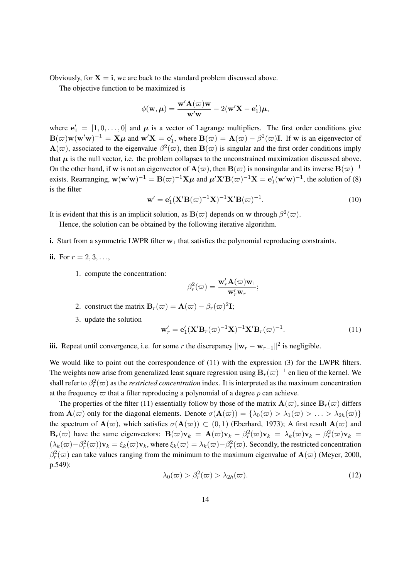Obviously, for  $X = i$ , we are back to the standard problem discussed above.

The objective function to be maximized is

$$
\phi(\mathbf{w}, \boldsymbol{\mu}) = \frac{\mathbf{w}' \mathbf{A}(\boldsymbol{\varpi}) \mathbf{w}}{\mathbf{w}' \mathbf{w}} - 2(\mathbf{w}' \mathbf{X} - \mathbf{e}'_1) \boldsymbol{\mu},
$$

where  $\mathbf{e}'_1 = [1, 0, \dots, 0]$  and  $\boldsymbol{\mu}$  is a vector of Lagrange multipliers. The first order conditions give  $\mathbf{B}(\varpi)\mathbf{w}(\mathbf{w}'\mathbf{w})^{-1} = \mathbf{X}\boldsymbol{\mu}$  and  $\mathbf{w}'\mathbf{X} = \mathbf{e}'_1$  $I_1'$ , where  $\mathbf{B}(\varpi) = \mathbf{A}(\varpi) - \beta^2(\varpi)\mathbf{I}$ . If w is an eigenvector of  $\mathbf{A}(\varpi)$ , associated to the eigenvalue  $\beta^2(\varpi)$ , then  $\mathbf{B}(\varpi)$  is singular and the first order conditions imply that  $\mu$  is the null vector, i.e. the problem collapses to the unconstrained maximization discussed above. On the other hand, if w is not an eigenvector of  $\mathbf{A}(\varpi)$ , then  $\mathbf{B}(\varpi)$  is nonsingular and its inverse  $\mathbf{B}(\varpi)^{-1}$ exists. Rearranging,  $w(w'w)^{-1} = B(\varpi)^{-1}X\mu$  and  $\mu'X'B(\varpi)^{-1}X = e'$  $\mathcal{L}_1(\mathbf{w}'\mathbf{w})^{-1}$ , the solution of (8) is the filter

$$
\mathbf{w}' = \mathbf{e}'_1 (\mathbf{X}' \mathbf{B}(\varpi)^{-1} \mathbf{X})^{-1} \mathbf{X}' \mathbf{B}(\varpi)^{-1}.
$$
 (10)

It is evident that this is an implicit solution, as  $B(\varpi)$  depends on w through  $\beta^2(\varpi)$ .

Hence, the solution can be obtained by the following iterative algorithm.

**i.** Start from a symmetric LWPR filter  $w_1$  that satisfies the polynomial reproducing constraints.

**ii.** For 
$$
r = 2, 3, ...,
$$

1. compute the concentration:

$$
\beta_r^2(\varpi) = \frac{\mathbf{w}_r' \mathbf{A}(\varpi) \mathbf{w}_1}{\mathbf{w}_r' \mathbf{w}_r};
$$

- 2. construct the matrix  $\mathbf{B}_r(\omega) = \mathbf{A}(\omega) \beta_r(\omega)^2 \mathbf{I}$ ;
- 3. update the solution

$$
\mathbf{w}'_r = \mathbf{e}'_1 (\mathbf{X}' \mathbf{B}_r (\varpi)^{-1} \mathbf{X})^{-1} \mathbf{X}' \mathbf{B}_r (\varpi)^{-1}.
$$
 (11)

**iii.** Repeat until convergence, i.e. for some r the discrepancy  $\|\mathbf{w}_r - \mathbf{w}_{r-1}\|^2$  is negligible.

We would like to point out the correspondence of (11) with the expression (3) for the LWPR filters. The weights now arise from generalized least square regression using  $B_r(\varpi)^{-1}$  en lieu of the kernel. We shall refer to  $\beta_r^2(\varpi)$  as the *restricted concentration* index. It is interpreted as the maximum concentration at the frequency  $\varpi$  that a filter reproducing a polynomial of a degree p can achieve.

The properties of the filter (11) essentially follow by those of the matrix  $\mathbf{A}(\varpi)$ , since  $\mathbf{B}_r(\varpi)$  differs from  $\mathbf{A}(\varpi)$  only for the diagonal elements. Denote  $\sigma(\mathbf{A}(\varpi)) = {\lambda_0(\varpi) > \lambda_1(\varpi) > \ldots > \lambda_{2h}(\varpi)}$ the spectrum of  $\mathbf{A}(\varpi)$ , which satisfies  $\sigma(\mathbf{A}(\varpi)) \subset (0,1)$  (Eberhard, 1973); A first result  $\mathbf{A}(\varpi)$  and  $\mathbf{B}_r(\omega)$  have the same eigenvectors:  $\mathbf{B}(\omega)\mathbf{v}_k = \mathbf{A}(\omega)\mathbf{v}_k - \beta_r^2(\omega)\mathbf{v}_k = \lambda_k(\omega)\mathbf{v}_k - \beta_r^2(\omega)\mathbf{v}_k =$  $(\lambda_k(\varpi)-\beta_r^2(\varpi))\mathbf{v}_k = \xi_k(\varpi)\mathbf{v}_k$ , where  $\xi_k(\varpi) = \lambda_k(\varpi)-\beta_r^2(\varpi)$ . Secondly, the restricted concentration  $\beta_r^2(\varpi)$  can take values ranging from the minimum to the maximum eigenvalue of  $\mathbf{A}(\varpi)$  (Meyer, 2000, p.549):

$$
\lambda_0(\varpi) > \beta_r^2(\varpi) > \lambda_{2h}(\varpi). \tag{12}
$$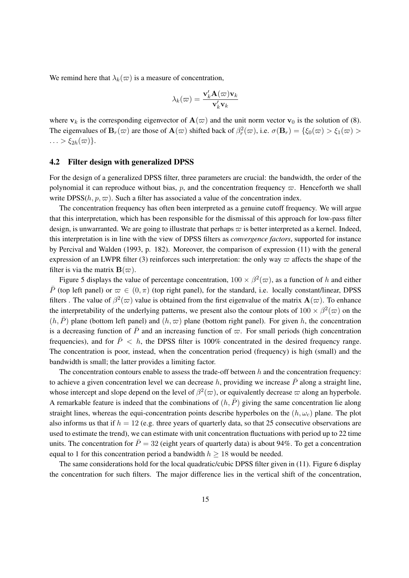We remind here that  $\lambda_k(\varpi)$  is a measure of concentration,

$$
\lambda_k(\varpi) = \frac{\mathbf{v}_k' \mathbf{A}(\varpi) \mathbf{v}_k}{\mathbf{v}_k' \mathbf{v}_k}
$$

where  $v_k$  is the corresponding eigenvector of  $A(\varpi)$  and the unit norm vector  $v_0$  is the solution of (8). The eigenvalues of  $B_r(\omega)$  are those of  $\mathbf{A}(\omega)$  shifted back of  $\beta_r^2(\omega)$ , i.e.  $\sigma(\mathbf{B}_r) = \{\xi_0(\omega) > \xi_1(\omega) > \xi_2(\omega)\}$  $\ldots > \xi_{2h}(\varpi)$ .

### **4.2 Filter design with generalized DPSS**

For the design of a generalized DPSS filter, three parameters are crucial: the bandwidth, the order of the polynomial it can reproduce without bias, p, and the concentration frequency  $\varpi$ . Henceforth we shall write DPSS( $h, p, \varpi$ ). Such a filter has associated a value of the concentration index.

The concentration frequency has often been interpreted as a genuine cutoff frequency. We will argue that this interpretation, which has been responsible for the dismissal of this approach for low-pass filter design, is unwarranted. We are going to illustrate that perhaps  $\varpi$  is better interpreted as a kernel. Indeed, this interpretation is in line with the view of DPSS filters as *convergence factors*, supported for instance by Percival and Walden (1993, p. 182). Moreover, the comparison of expression (11) with the general expression of an LWPR filter (3) reinforces such interpretation: the only way  $\varpi$  affects the shape of the filter is via the matrix  $B(\varpi)$ .

Figure 5 displays the value of percentage concentration,  $100 \times \beta^2(\varpi)$ , as a function of h and either  $\bar{P}$  (top left panel) or  $\bar{\varpi} \in (0,\pi)$  (top right panel), for the standard, i.e. locally constant/linear, DPSS filters. The value of  $\beta^2(\varpi)$  value is obtained from the first eigenvalue of the matrix  $\mathbf{A}(\varpi)$ . To enhance the interpretability of the underlying patterns, we present also the contour plots of  $100 \times \beta^2(\varpi)$  on the  $(h, \overline{P})$  plane (bottom left panel) and  $(h, \overline{\omega})$  plane (bottom right panel). For given h, the concentration is a decreasing function of  $\bar{P}$  and an increasing function of  $\varpi$ . For small periods (high concentration frequencies), and for  $\overline{P}$  < h, the DPSS filter is 100% concentrated in the desired frequency range. The concentration is poor, instead, when the concentration period (frequency) is high (small) and the bandwidth is small; the latter provides a limiting factor.

The concentration contours enable to assess the trade-off between  $h$  and the concentration frequency: to achieve a given concentration level we can decrease h, providing we increase  $\bar{P}$  along a straight line, whose intercept and slope depend on the level of  $\beta^2(\varpi)$ , or equivalently decrease  $\varpi$  along an hyperbole. A remarkable feature is indeed that the combinations of  $(h, \overline{P})$  giving the same concentration lie along straight lines, whereas the equi-concentration points describe hyperboles on the  $(h, \omega_c)$  plane. The plot also informs us that if  $h = 12$  (e.g. three years of quarterly data, so that 25 consecutive observations are used to estimate the trend), we can estimate with unit concentration fluctuations with period up to 22 time units. The concentration for  $\bar{P} = 32$  (eight years of quarterly data) is about 94%. To get a concentration equal to 1 for this concentration period a bandwidth  $h \geq 18$  would be needed.

The same considerations hold for the local quadratic/cubic DPSS filter given in (11). Figure 6 display the concentration for such filters. The major difference lies in the vertical shift of the concentration,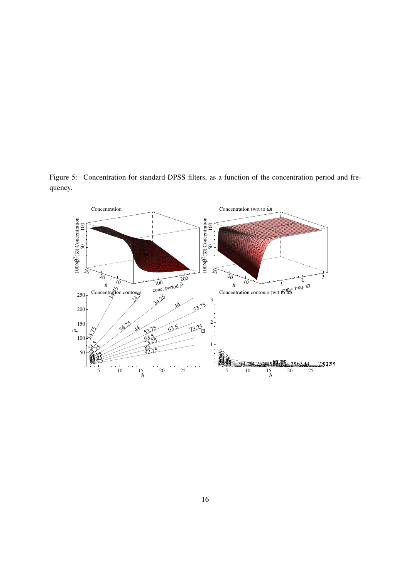Figure 5: Concentration for standard DPSS filters, as a function of the concentration period and frequency.

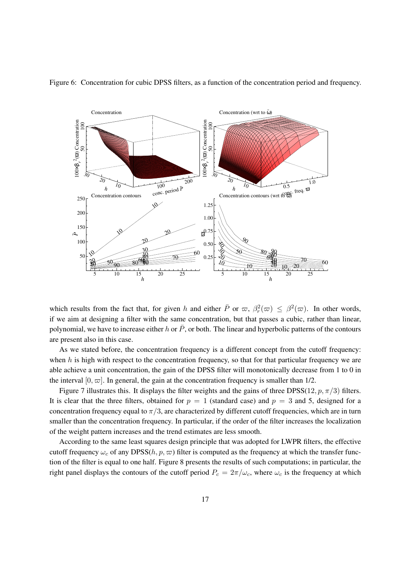

Figure 6: Concentration for cubic DPSS filters, as a function of the concentration period and frequency.

which results from the fact that, for given h and either  $\bar{P}$  or  $\bar{\varpi}$ ,  $\beta_r^2(\bar{\varpi}) \leq \beta_r^2(\bar{\varpi})$ . In other words, if we aim at designing a filter with the same concentration, but that passes a cubic, rather than linear, polynomial, we have to increase either h or  $\bar{P}$ , or both. The linear and hyperbolic patterns of the contours are present also in this case.

As we stated before, the concentration frequency is a different concept from the cutoff frequency: when  $h$  is high with respect to the concentration frequency, so that for that particular frequency we are able achieve a unit concentration, the gain of the DPSS filter will monotonically decrease from 1 to 0 in the interval  $[0, \varpi]$ . In general, the gain at the concentration frequency is smaller than 1/2.

Figure 7 illustrates this. It displays the filter weights and the gains of three DPSS(12, p,  $\pi/3$ ) filters. It is clear that the three filters, obtained for  $p = 1$  (standard case) and  $p = 3$  and 5, designed for a concentration frequency equal to  $\pi/3$ , are characterized by different cutoff frequencies, which are in turn smaller than the concentration frequency. In particular, if the order of the filter increases the localization of the weight pattern increases and the trend estimates are less smooth.

According to the same least squares design principle that was adopted for LWPR filters, the effective cutoff frequency  $\omega_c$  of any DPSS $(h, p, \varpi)$  filter is computed as the frequency at which the transfer function of the filter is equal to one half. Figure 8 presents the results of such computations; in particular, the right panel displays the contours of the cutoff period  $P_c = 2\pi/\omega_c$ , where  $\omega_c$  is the frequency at which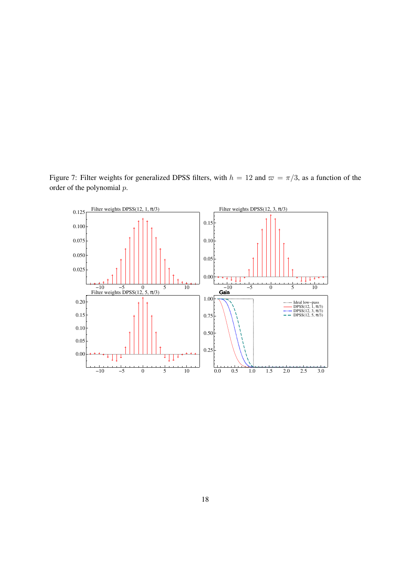Figure 7: Filter weights for generalized DPSS filters, with  $h = 12$  and  $\varpi = \pi/3$ , as a function of the order of the polynomial p.

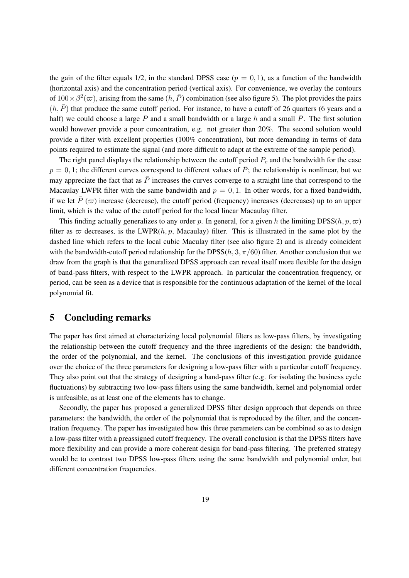the gain of the filter equals 1/2, in the standard DPSS case  $(p = 0, 1)$ , as a function of the bandwidth (horizontal axis) and the concentration period (vertical axis). For convenience, we overlay the contours of  $100 \times \beta^2(\varpi)$ , arising from the same  $(h, \bar{P})$  combination (see also figure 5). The plot provides the pairs  $(h, \overline{P})$  that produce the same cutoff period. For instance, to have a cutoff of 26 quarters (6 years and a half) we could choose a large  $\bar{P}$  and a small bandwidth or a large h and a small  $\bar{P}$ . The first solution would however provide a poor concentration, e.g. not greater than 20%. The second solution would provide a filter with excellent properties (100% concentration), but more demanding in terms of data points required to estimate the signal (and more difficult to adapt at the extreme of the sample period).

The right panel displays the relationship between the cutoff period  $P_c$  and the bandwidth for the case  $p = 0, 1$ ; the different curves correspond to different values of  $\overline{P}$ ; the relationship is nonlinear, but we may appreciate the fact that as  $\bar{P}$  increases the curves converge to a straight line that correspond to the Macaulay LWPR filter with the same bandwidth and  $p = 0, 1$ . In other words, for a fixed bandwidth, if we let  $\bar{P}(\varpi)$  increase (decrease), the cutoff period (frequency) increases (decreases) up to an upper limit, which is the value of the cutoff period for the local linear Macaulay filter.

This finding actually generalizes to any order p. In general, for a given h the limiting DPSS(h, p,  $\varpi$ ) filter as  $\varpi$  decreases, is the LWPR(h, p, Macaulay) filter. This is illustrated in the same plot by the dashed line which refers to the local cubic Maculay filter (see also figure 2) and is already coincident with the bandwidth-cutoff period relationship for the DPSS(h, 3,  $\pi/60$ ) filter. Another conclusion that we draw from the graph is that the generalized DPSS approach can reveal itself more flexible for the design of band-pass filters, with respect to the LWPR approach. In particular the concentration frequency, or period, can be seen as a device that is responsible for the continuous adaptation of the kernel of the local polynomial fit.

### **5 Concluding remarks**

The paper has first aimed at characterizing local polynomial filters as low-pass filters, by investigating the relationship between the cutoff frequency and the three ingredients of the design: the bandwidth, the order of the polynomial, and the kernel. The conclusions of this investigation provide guidance over the choice of the three parameters for designing a low-pass filter with a particular cutoff frequency. They also point out that the strategy of designing a band-pass filter (e.g. for isolating the business cycle fluctuations) by subtracting two low-pass filters using the same bandwidth, kernel and polynomial order is unfeasible, as at least one of the elements has to change.

Secondly, the paper has proposed a generalized DPSS filter design approach that depends on three parameters: the bandwidth, the order of the polynomial that is reproduced by the filter, and the concentration frequency. The paper has investigated how this three parameters can be combined so as to design a low-pass filter with a preassigned cutoff frequency. The overall conclusion is that the DPSS filters have more flexibility and can provide a more coherent design for band-pass filtering. The preferred strategy would be to contrast two DPSS low-pass filters using the same bandwidth and polynomial order, but different concentration frequencies.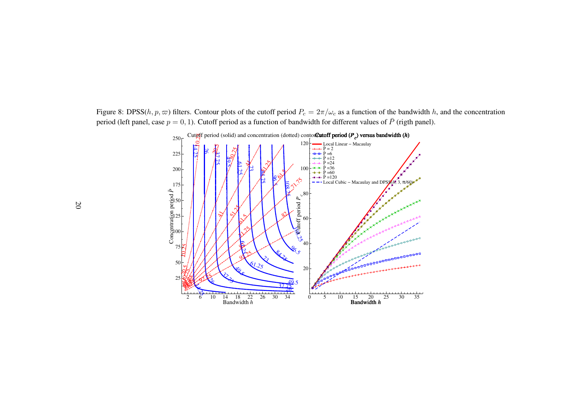Figure 8: DPSS( $h, p, \varpi$ ) filters. Contour plots of the cutoff period  $P_c = 2\pi/\omega_c$  as a function of the bandwidth h, and the concentration period (left panel, case  $p = 0, 1$ ). Cutoff period as a function of bandwidth for different values of  $\bar{P}$  (rigth panel).

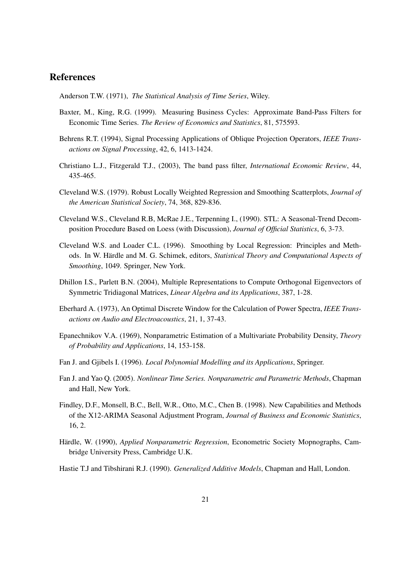### **References**

Anderson T.W. (1971), *The Statistical Analysis of Time Series*, Wiley.

- Baxter, M., King, R.G. (1999). Measuring Business Cycles: Approximate Band-Pass Filters for Economic Time Series. *The Review of Economics and Statistics*, 81, 575593.
- Behrens R.T. (1994), Signal Processing Applications of Oblique Projection Operators, *IEEE Transactions on Signal Processing*, 42, 6, 1413-1424.
- Christiano L.J., Fitzgerald T.J., (2003), The band pass filter, *International Economic Review*, 44, 435-465.
- Cleveland W.S. (1979). Robust Locally Weighted Regression and Smoothing Scatterplots, *Journal of the American Statistical Society*, 74, 368, 829-836.
- Cleveland W.S., Cleveland R.B, McRae J.E., Terpenning I., (1990). STL: A Seasonal-Trend Decomposition Procedure Based on Loess (with Discussion), *Journal of Official Statistics*, 6, 3-73.
- Cleveland W.S. and Loader C.L. (1996). Smoothing by Local Regression: Principles and Methods. In W. Härdle and M. G. Schimek, editors, *Statistical Theory and Computational Aspects of Smoothing*, 1049. Springer, New York.
- Dhillon I.S., Parlett B.N. (2004), Multiple Representations to Compute Orthogonal Eigenvectors of Symmetric Tridiagonal Matrices, *Linear Algebra and its Applications*, 387, 1-28.
- Eberhard A. (1973), An Optimal Discrete Window for the Calculation of Power Spectra, *IEEE Transactions on Audio and Electroacoustics*, 21, 1, 37-43.
- Epanechnikov V.A. (1969), Nonparametric Estimation of a Multivariate Probability Density, *Theory of Probability and Applications*, 14, 153-158.
- Fan J. and Gjibels I. (1996). *Local Polynomial Modelling and its Applications*, Springer.
- Fan J. and Yao Q. (2005). *Nonlinear Time Series. Nonparametric and Parametric Methods*, Chapman and Hall, New York.
- Findley, D.F., Monsell, B.C., Bell, W.R., Otto, M.C., Chen B. (1998). New Capabilities and Methods of the X12-ARIMA Seasonal Adjustment Program, *Journal of Business and Economic Statistics*, 16, 2.
- Härdle, W. (1990), *Applied Nonparametric Regression*, Econometric Society Mopnographs, Cambridge University Press, Cambridge U.K.
- Hastie T.J and Tibshirani R.J. (1990). *Generalized Additive Models*, Chapman and Hall, London.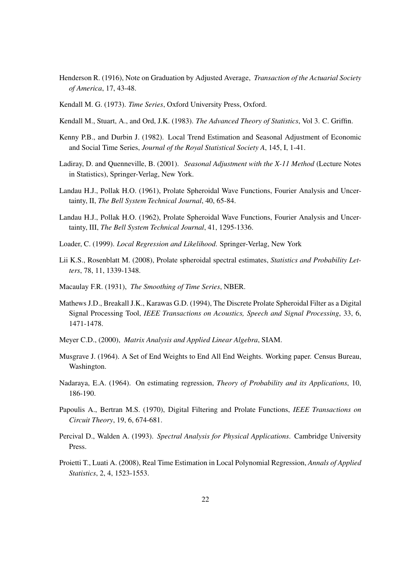- Henderson R. (1916), Note on Graduation by Adjusted Average, *Transaction of the Actuarial Society of America*, 17, 43-48.
- Kendall M. G. (1973). *Time Series*, Oxford University Press, Oxford.
- Kendall M., Stuart, A., and Ord, J.K. (1983). *The Advanced Theory of Statistics*, Vol 3. C. Griffin.
- Kenny P.B., and Durbin J. (1982). Local Trend Estimation and Seasonal Adjustment of Economic and Social Time Series, *Journal of the Royal Statistical Society A*, 145, I, 1-41.
- Ladiray, D. and Quenneville, B. (2001). *Seasonal Adjustment with the X-11 Method* (Lecture Notes in Statistics), Springer-Verlag, New York.
- Landau H.J., Pollak H.O. (1961), Prolate Spheroidal Wave Functions, Fourier Analysis and Uncertainty, II, *The Bell System Technical Journal*, 40, 65-84.
- Landau H.J., Pollak H.O. (1962), Prolate Spheroidal Wave Functions, Fourier Analysis and Uncertainty, III, *The Bell System Technical Journal*, 41, 1295-1336.
- Loader, C. (1999). *Local Regression and Likelihood*. Springer-Verlag, New York
- Lii K.S., Rosenblatt M. (2008), Prolate spheroidal spectral estimates, *Statistics and Probability Letters*, 78, 11, 1339-1348.
- Macaulay F.R. (1931), *The Smoothing of Time Series*, NBER.
- Mathews J.D., Breakall J.K., Karawas G.D. (1994), The Discrete Prolate Spheroidal Filter as a Digital Signal Processing Tool, *IEEE Transactions on Acoustics, Speech and Signal Processing*, 33, 6, 1471-1478.
- Meyer C.D., (2000), *Matrix Analysis and Applied Linear Algebra*, SIAM.
- Musgrave J. (1964). A Set of End Weights to End All End Weights. Working paper. Census Bureau, Washington.
- Nadaraya, E.A. (1964). On estimating regression, *Theory of Probability and its Applications*, 10, 186-190.
- Papoulis A., Bertran M.S. (1970), Digital Filtering and Prolate Functions, *IEEE Transactions on Circuit Theory*, 19, 6, 674-681.
- Percival D., Walden A. (1993). *Spectral Analysis for Physical Applications*. Cambridge University Press.
- Proietti T., Luati A. (2008), Real Time Estimation in Local Polynomial Regression, *Annals of Applied Statistics*, 2, 4, 1523-1553.